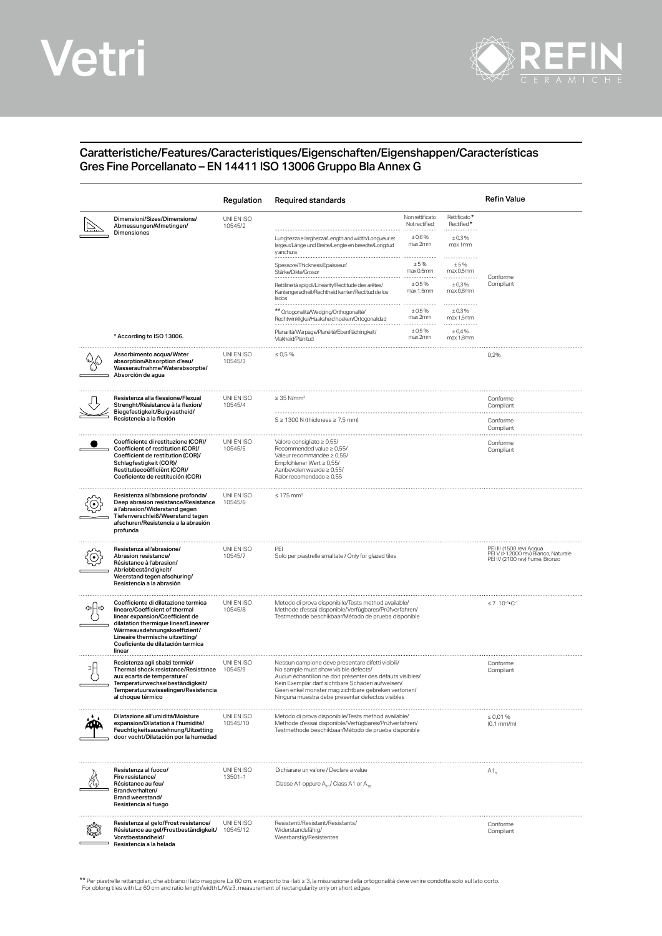## Vetri



## Caratteristiche/Features/Caracteristiques/Eigenschaften/Eigenshappen/Características Gres Fine Porcellanato – EN 14411 ISO 13006 Gruppo Bla Annex G

|                                                                                                                                                                                                                                                                    | Regulation             | <b>Required standards</b>                                                                                                                                                                                                                                                                                            |                                            |                                                                                                   | Refin Value                      |
|--------------------------------------------------------------------------------------------------------------------------------------------------------------------------------------------------------------------------------------------------------------------|------------------------|----------------------------------------------------------------------------------------------------------------------------------------------------------------------------------------------------------------------------------------------------------------------------------------------------------------------|--------------------------------------------|---------------------------------------------------------------------------------------------------|----------------------------------|
| Dimensioni/Sizes/Dimensions/<br>Abmessungen/Afmetingen/<br>Dimensiones                                                                                                                                                                                             | UNI EN ISO<br>10545/2  |                                                                                                                                                                                                                                                                                                                      | Non rettificato<br>Not rectified<br>± 0,6% | Rettificato*<br>Rectified*<br>±0,3%                                                               |                                  |
|                                                                                                                                                                                                                                                                    |                        | Lunghezza e larghezza/Length and width/Longueur et<br>largeur/Länge und Breite/Lengte en breedte/Longitud<br>y anchura                                                                                                                                                                                               | max 2mm                                    | max 1mm                                                                                           |                                  |
|                                                                                                                                                                                                                                                                    |                        | Spessore/Thickness/Epaisseur<br>Stärke/Dikte/Grosor                                                                                                                                                                                                                                                                  | ±5%<br>max 0,5mm                           | ± 5%<br>max 0.5mm<br>.                                                                            | Conforme                         |
|                                                                                                                                                                                                                                                                    |                        | Rettilineità spigoli/Linearity/Rectitude des arêtes/<br>Kantengeradheit/Rechtheid kanten/Rectitud de los<br>lados                                                                                                                                                                                                    | ± 0.5%<br>max 1,5mm                        | ±0,3%<br>max 0,8mm<br>.                                                                           | Compliant                        |
|                                                                                                                                                                                                                                                                    |                        | ** Ortogonalità/Wedging/Orthogonalité/<br>Rechtwinkligkei/Haaksheid hoeken/Ortogonalidad                                                                                                                                                                                                                             | ± 0.5%<br>max 2mm                          | ±0.3%<br>max 1,5mm                                                                                |                                  |
| * According to ISO 13006.                                                                                                                                                                                                                                          |                        | Planarità/Warpage/Planéité/Ebenflächingkeit/<br>Vlakheid/Planitud                                                                                                                                                                                                                                                    | ± 0.5%<br>max 2mm                          | ± 0,4%<br>max 1,8mm                                                                               |                                  |
| Assorbimento acqua/Water<br>absorption/Absorption d'eau/<br>Wasseraufnahme/Waterabsorptie/<br>Absorción de agua                                                                                                                                                    | UNI EN ISO<br>10545/3  | $\leq 0.5 \%$                                                                                                                                                                                                                                                                                                        |                                            |                                                                                                   | 0,2%                             |
| Resistenza alla flessione/Flexual<br>Strenght/Résistance à la flexion/<br>Biegefestigkeit/Buigvastheid/<br>Resistencia a la flexión                                                                                                                                | UNI EN ISO<br>10545/4  | $\geq$ 35 N/mm <sup>2</sup>                                                                                                                                                                                                                                                                                          |                                            |                                                                                                   | Conforme<br>Compliant            |
|                                                                                                                                                                                                                                                                    |                        | $S \geq 1300$ N (thickness $\geq 7.5$ mm)                                                                                                                                                                                                                                                                            |                                            |                                                                                                   | Conforme<br>Compliant            |
| Coefficiente di restituzione (COR)/<br>Coefficient of restitution (COR)/<br>Coefficient de restitution (COR)/<br>Schlagfestigkeit (COR)/<br>Restitutiecoëfficiënt (COR)/<br>Coeficiente de restitución (COR)                                                       | UNI EN ISO<br>10545/5  | Valore consigliato ≥ 0,55/<br>Recommended value $\geq 0.55/$<br>Valeur recommandée ≥ 0,55/<br>Empfohlener Wert $\geq 0.55/$<br>Aanbevolen waarde $\geq 0.55$ /<br>Ralor recomendado $\geq 0.55$                                                                                                                      |                                            |                                                                                                   | Conforme<br>Compliant            |
| Resistenza all'abrasione profonda/<br>Deep abrasion resistance/Resistance<br>à l'abrasion/Widerstand gegen<br>Tiefenverschleiß/Weerstand tegen<br>afschuren/Resistencia a la abrasión<br>profunda                                                                  | UNI EN ISO<br>10545/6  | $\leq 175$ mm <sup>3</sup>                                                                                                                                                                                                                                                                                           |                                            |                                                                                                   |                                  |
| Resistenza all'abrasione/<br>Abrasion resistance/<br>Résistance à l'abrasion/<br>Abriebbeständigkeit/<br>Weerstand tegen afschuring/<br>Resistencia a la abrasión                                                                                                  | UNI EN ISO<br>10545/7  | PEI<br>Solo per piastrelle smaltate / Only for glazed tiles                                                                                                                                                                                                                                                          |                                            | PEI III (1500 rev) Acqua<br>PEI V (>12000 rev) Bianco, Naturale<br>PEI IV (2100 rev) Fumé, Bronzo |                                  |
| Coefficiente di dilatazione termica<br>lineare/Coefficient of thermal<br>linear expansion/Coefficient de<br>dilatation thermique linear/Linearer<br>Wärmeausdehnungskoeffizient/<br>Lineaire thermische uitzetting/<br>Coeficiente de dilatación termica<br>linear | UNI EN ISO<br>10545/8  | Metodo di prova disponibile/Tests method available/<br>Methode d'essai disponible/Verfügbares/Prüfverfahren/<br>Testmethode beschikbaar/Método de prueba disponible                                                                                                                                                  |                                            | $\leq 7$ 10-6. C-1                                                                                |                                  |
| Resistenza agli sbalzi termici/<br>Thermal shock resistance/Resistance<br>aux ecarts de temperature/<br>Temperaturwechselbeständigkeit/<br>lemperatuurswisselingen/Resistencia<br>al choque térmico                                                                | UNI EN ISO<br>10545/9  | Nessun campione deve presentare difetti visibili/<br>No sample must show visible defects/<br>Aucun échantillon ne doit présenter des défauts visibles/<br>Kein Exemplar darf sichtbare Schäden aufweisen/<br>Geen enkel monster mag zichtbare gebreken vertonen/<br>Ninguna muestra debe presentar defectos visibles |                                            | Conforme<br>Compliant                                                                             |                                  |
| Dilatazione all'umidità/Moisture<br>expansion/Dilatation à l'humidité/<br>Feuchtigkeitsausdehnung/Uitzetting<br>door vocht/Dilatación por la humedad                                                                                                               | UNI EN ISO<br>10545/10 | Metodo di prova disponibile/Tests method available/<br>Methode d'essai disponible/Verfügbares/Prüfverfahren/<br>Testmethode beschikbaar/Método de prueba disponible                                                                                                                                                  |                                            |                                                                                                   | $\leq 0.01$ %<br>$(0,1$ mm/m $)$ |
| Resistenza al fuoco/<br>Fire resistance/<br>Résistance au feu/<br>Brandverhalten/<br>Brand weerstand/<br>Resistencia al fuego                                                                                                                                      | UNI EN ISO<br>13501-1  | Dichiarare un valore / Declare a value<br>Classe A1 oppure A <sub>10</sub> / Class A1 or A <sub>10</sub>                                                                                                                                                                                                             |                                            | $A1_{a}$                                                                                          |                                  |
| Resistenza al gelo/Frost resistance/<br>Résistance au gel/Frostbeständigkeit/<br>Vorstbestandheid/<br>Resistencia a la helada                                                                                                                                      | UNI EN ISO<br>10545/12 | Resistenti/Resistant/Resistants/<br>Widerstandsfähig/<br>Weerbarstig/Resistentes                                                                                                                                                                                                                                     |                                            |                                                                                                   | Conforme<br>Compliant            |

\*\* Per piastrelle rettangolari, che abbiano il lato maggiore L≥ 60 cm, e rapporto tra i lati ≥ 3, la misurazione della ortogonalità deve venire condotta solo sul lato corto<br>For oblong tiles with L≥ 60 cm and ratio length/